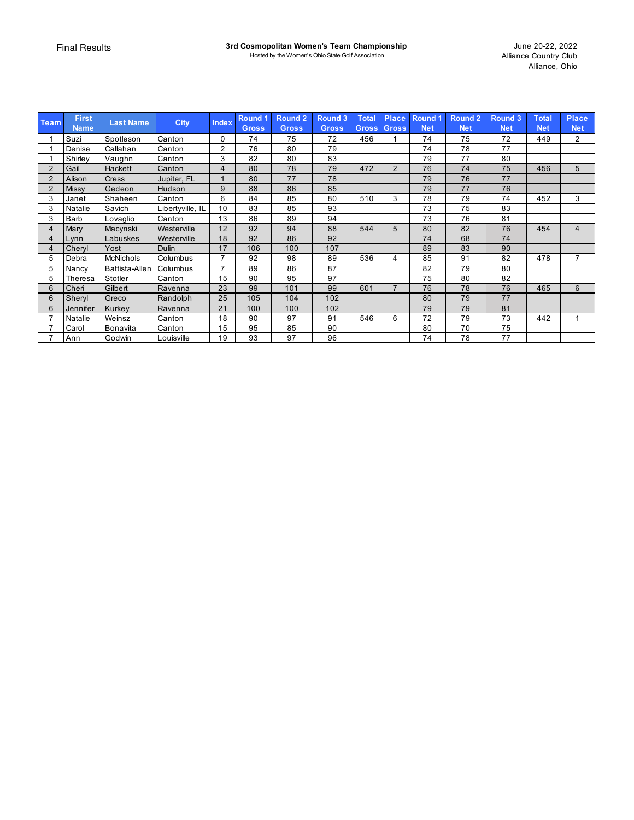| <b>Team</b>    | <b>First</b><br><b>Name</b> | <b>Last Name</b>      | <b>City</b>      | <b>Index</b>   | Round <sub>1</sub><br><b>Gross</b> | <b>Round 2</b><br><b>Gross</b> | Round 3<br><b>Gross</b> | <b>Total</b><br>Gross, | <b>Place</b><br><b>Gross</b> | Round <sub>1</sub><br><b>Net</b> | <b>Round 2</b><br><b>Net</b> | Round 3<br><b>Net</b> | <b>Total</b><br><b>Net</b> | <b>Place</b><br><b>Net</b> |
|----------------|-----------------------------|-----------------------|------------------|----------------|------------------------------------|--------------------------------|-------------------------|------------------------|------------------------------|----------------------------------|------------------------------|-----------------------|----------------------------|----------------------------|
|                | Suzi                        | Spotleson             | Canton           | 0              | 74                                 | 75                             | 72                      | 456                    |                              | 74                               | 75                           | 72                    | 449                        | 2                          |
|                | Denise                      | Callahan              | Canton           | $\overline{2}$ | 76                                 | 80                             | 79                      |                        |                              | 74                               | 78                           | 77                    |                            |                            |
|                | Shirley                     | Vaughn                | Canton           | 3              | 82                                 | 80                             | 83                      |                        |                              | 79                               | 77                           | 80                    |                            |                            |
| 2              | Gail                        | Hackett               | Canton           | 4              | 80                                 | 78                             | 79                      | 472                    | $\overline{2}$               | 76                               | 74                           | 75                    | 456                        | 5                          |
| $\overline{2}$ | Alison                      | <b>Cress</b>          | Jupiter, FL      |                | 80                                 | 77                             | 78                      |                        |                              | 79                               | 76                           | 77                    |                            |                            |
| $\overline{2}$ | <b>Missy</b>                | Gedeon                | Hudson           | 9              | 88                                 | 86                             | 85                      |                        |                              | 79                               | 77                           | 76                    |                            |                            |
| 3              | Janet                       | Shaheen               | Canton           | 6              | 84                                 | 85                             | 80                      | 510                    | 3                            | 78                               | 79                           | 74                    | 452                        | 3                          |
| 3              | Natalie                     | Savich                | Libertyville, IL | 10             | 83                                 | 85                             | 93                      |                        |                              | 73                               | 75                           | 83                    |                            |                            |
| 3              | Barb                        | Lovaglio              | Canton           | 13             | 86                                 | 89                             | 94                      |                        |                              | 73                               | 76                           | 81                    |                            |                            |
| 4              | Mary                        | Macynski              | Westerville      | 12             | 92                                 | 94                             | 88                      | 544                    | 5                            | 80                               | 82                           | 76                    | 454                        | $\overline{4}$             |
| 4              | Lynn                        | Labuskes              | Westerville      | 18             | 92                                 | 86                             | 92                      |                        |                              | 74                               | 68                           | 74                    |                            |                            |
| 4              | Cheryl                      | Yost                  | <b>Dulin</b>     | 17             | 106                                | 100                            | 107                     |                        |                              | 89                               | 83                           | 90                    |                            |                            |
| 5              | Debra                       | <b>McNichols</b>      | Columbus         | 7              | 92                                 | 98                             | 89                      | 536                    | 4                            | 85                               | 91                           | 82                    | 478                        | $\overline{7}$             |
| 5              | Nancy                       | <b>Battista-Allen</b> | Columbus         | $\overline{ }$ | 89                                 | 86                             | 87                      |                        |                              | 82                               | 79                           | 80                    |                            |                            |
| 5              | Theresa                     | Stotler               | Canton           | 15             | 90                                 | 95                             | 97                      |                        |                              | 75                               | 80                           | 82                    |                            |                            |
| 6              | Cheri                       | Gilbert               | Ravenna          | 23             | 99                                 | 101                            | 99                      | 601                    | $\overline{7}$               | 76                               | 78                           | 76                    | 465                        | 6                          |
| 6              | Sheryl                      | Greco                 | Randolph         | 25             | 105                                | 104                            | 102                     |                        |                              | 80                               | 79                           | 77                    |                            |                            |
| 6              | Jennifer                    | Kurkey                | Ravenna          | 21             | 100                                | 100                            | 102                     |                        |                              | 79                               | 79                           | 81                    |                            |                            |
| 7              | <b>Natalie</b>              | Weinsz                | Canton           | 18             | 90                                 | 97                             | 91                      | 546                    | 6                            | 72                               | 79                           | 73                    | 442                        | $\blacktriangleleft$       |
| $\overline{ }$ | Carol                       | Bonavita              | Canton           | 15             | 95                                 | 85                             | 90                      |                        |                              | 80                               | 70                           | 75                    |                            |                            |
|                | Ann                         | Godwin                | Louisville       | 19             | 93                                 | 97                             | 96                      |                        |                              | 74                               | 78                           | 77                    |                            |                            |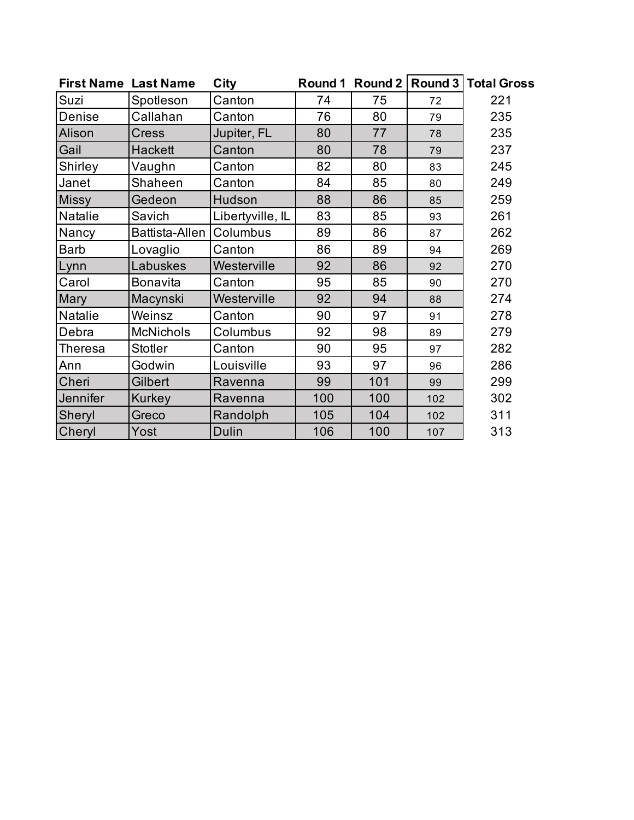|                 | <b>First Name Last Name</b> | City             | Round 1  | Round 2 |     | <b>Round 3   Total Gross</b> |
|-----------------|-----------------------------|------------------|----------|---------|-----|------------------------------|
| Suzi            | Spotleson                   | Canton           | 74       | 75      | 72  | 221                          |
| Denise          | Callahan                    | Canton           | 76       | 80      | 79  | 235                          |
| Alison          | <b>Cress</b>                | Jupiter, FL      | 80       | 77      | 78  | 235                          |
| Gail            | <b>Hackett</b>              | Canton           | 80       | 78      | 79  | 237                          |
| Shirley         | Vaughn                      | Canton           | 82<br>80 |         | 83  | 245                          |
| Janet           | Shaheen                     | Canton           | 84       | 85      |     | 249                          |
| <b>Missy</b>    | Gedeon                      | Hudson           | 88       | 86      | 85  | 259                          |
| Natalie         | Savich                      | Libertyville, IL | 83       | 85      | 93  | 261                          |
| Nancy           | Battista-Allen              | Columbus         | 89       | 86      | 87  | 262                          |
| <b>Barb</b>     | Lovaglio                    | Canton           | 86       | 89      | 94  | 269                          |
| Lynn            | Labuskes                    | Westerville      | 92       | 86      | 92  | 270                          |
| Carol           | <b>Bonavita</b>             | Canton           | 95       | 85      | 90  | 270                          |
| Mary            | Macynski                    | Westerville      | 92       | 94      | 88  | 274                          |
| Natalie         | Weinsz                      | Canton           | 90       | 97      | 91  | 278                          |
| Debra           | <b>McNichols</b>            | Columbus         | 92       | 98      | 89  | 279                          |
| Theresa         | <b>Stotler</b>              | Canton           | 90       | 95      | 97  | 282                          |
| Ann             | Godwin                      | Louisville       | 93       | 97      | 96  | 286                          |
| Cheri           | Gilbert                     | Ravenna          | 99       | 101     | 99  | 299                          |
| <b>Jennifer</b> | Kurkey                      | Ravenna          | 100      | 100     | 102 | 302                          |
| Sheryl          | Greco                       | Randolph         | 105      | 104     | 102 | 311                          |
| Cheryl          | Yost                        | <b>Dulin</b>     | 106      | 100     | 107 | 313                          |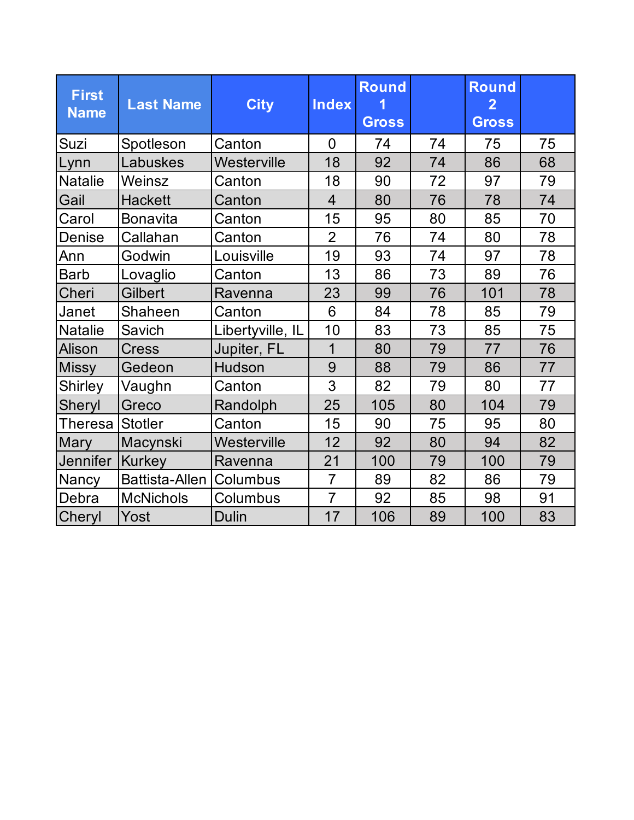| <b>First</b><br><b>Name</b> | <b>Last Name</b>      | <b>City</b>      | <b>Index</b>   | <b>Round</b><br><b>Gross</b> |    | <b>Round</b><br>$\mathbf{2}$<br><b>Gross</b> |    |
|-----------------------------|-----------------------|------------------|----------------|------------------------------|----|----------------------------------------------|----|
| Suzi                        | Spotleson             | Canton           | $\overline{0}$ | 74                           | 74 | 75                                           | 75 |
| Lynn                        | Labuskes              | Westerville      | 18             | 92                           | 74 | 86                                           | 68 |
| <b>Natalie</b>              | Weinsz                | Canton           | 18             | 90                           | 72 | 97                                           | 79 |
| Gail                        | <b>Hackett</b>        | Canton           | $\overline{4}$ | 80                           | 76 | 78                                           | 74 |
| Carol<br><b>Bonavita</b>    |                       | Canton           | 15             | 95                           | 80 | 85                                           | 70 |
| Callahan<br>Denise          |                       | Canton           | $\overline{2}$ | 76                           | 74 | 80                                           | 78 |
| Ann                         | Godwin                | Louisville       | 19             | 93                           | 74 | 97                                           | 78 |
| Barb                        | Lovaglio              | Canton           | 13             | 86                           | 73 | 89                                           | 76 |
| Cheri                       | <b>Gilbert</b>        | Ravenna          | 23             | 99                           | 76 | 101                                          | 78 |
| Janet                       | Shaheen               | Canton           | 6              | 84                           | 78 | 85                                           | 79 |
| <b>Natalie</b>              | Savich                | Libertyville, IL | 10             | 83                           | 73 | 85                                           | 75 |
| Alison                      | <b>Cress</b>          | Jupiter, FL      | 1              | 80                           | 79 | 77                                           | 76 |
| <b>Missy</b>                | Gedeon                | Hudson           | 9              | 88                           | 79 | 86                                           | 77 |
| <b>Shirley</b>              | Vaughn                | Canton           | 3              | 82                           | 79 | 80                                           | 77 |
| <b>Sheryl</b>               | Greco                 | Randolph         | 25             | 105                          | 80 | 104                                          | 79 |
| Theresa                     | <b>Stotler</b>        | Canton           | 15             | 90                           | 75 | 95                                           | 80 |
| <b>Mary</b>                 | Macynski              | Westerville      | 12             | 92                           | 80 | 94                                           | 82 |
| <b>Jennifer</b>             | Kurkey                | Ravenna          | 21             | 100                          | 79 | 100                                          | 79 |
| Nancy                       | <b>Battista-Allen</b> | Columbus         | $\overline{7}$ | 89                           | 82 | 86                                           | 79 |
| Debra                       | <b>McNichols</b>      | Columbus         | $\overline{7}$ | 92                           | 85 | 98                                           | 91 |
| <b>Cheryl</b>               | Yost                  | Dulin            | 17             | 106                          | 89 | 100                                          | 83 |